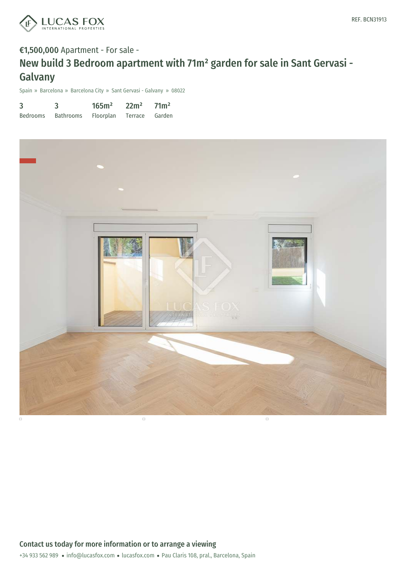

# €1,500,000 Apartment - For sale - New build 3 Bedroom apartment with 71m² garden for sale in Sant Gervasi - Galvany

Spain » Barcelona » Barcelona City » Sant Gervasi - Galvany » 08022

| 3        |           | 165m <sup>2</sup> | 22m <sup>2</sup> | 71 <sup>2</sup> |
|----------|-----------|-------------------|------------------|-----------------|
| Bedrooms | Bathrooms | Floorplan         | Terrace Garden   |                 |

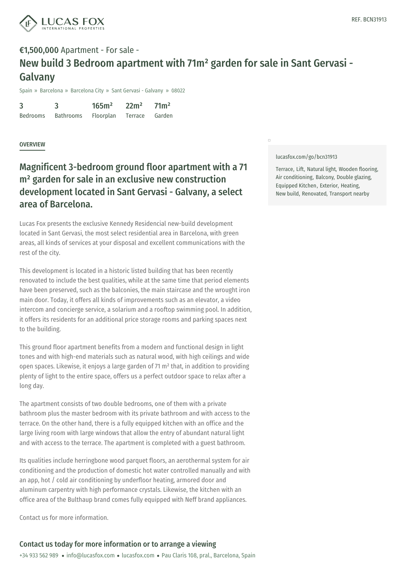

# €1,500,000 Apartment - For sale - New build 3 Bedroom apartment with 71m² garden for sale in Sant Gervasi - Galvany

Spain » Barcelona » Barcelona City » Sant Gervasi - Galvany » 08022

| 3               |                  | 165m <sup>2</sup> | 22m <sup>2</sup> | 71 <sup>m²</sup> |
|-----------------|------------------|-------------------|------------------|------------------|
| <b>Bedrooms</b> | <b>Bathrooms</b> | <b>Floorplan</b>  | Terrace          | Garden           |

#### **OVERVIEW**

## Magnificent 3-bedroom ground floor apartment with a 71 m² garden for sale in an exclusive new construction development located in Sant Gervasi - Galvany, a select area of Barcelona.

Lucas Fox presents the exclusive Kennedy Residencial new-build development located in Sant Gervasi, the most select residential area in Barcelona, with green areas, all kinds of services at your disposal and excellent communications with the rest of the city.

This development is located in a historic listed building that has been recently renovated to include the best qualities, while at the same time that period elements have been preserved, such as the balconies, the main staircase and the wrought iron main door. Today, it offers all kinds of improvements such as an elevator, a video intercom and concierge service, a solarium and a rooftop swimming pool. In addition, it offers its residents for an additional price storage rooms and parking spaces next to the building.

This ground floor apartment benefits from a modern and functional design in light tones and with high-end materials such as natural wood, with high ceilings and wide open spaces. Likewise, it enjoys a large garden of 71 m<sup>2</sup> that, in addition to providing plenty of light to the entire space, offers us a perfect outdoor space to relax after a long day.

The apartment consists of two double bedrooms, one of them with a private bathroom plus the master [bedroom](mailto:info@lucasfox.com) with its [privat](https://www.lucasfox.com)e bathroom and with access to the terrace. On the other hand, there is a fully equipped kitchen with an office and the large living room with large windows that allow the entry of abundant natural light and with access to the terrace. The apartment is completed with a guest bathroom.

Its qualities include herringbone wood parquet floors, an aerothermal system for air conditioning and the production of domestic hot water controlled manually and with an app, hot / cold air conditioning by underfloor heating, armored door and aluminum carpentry with high performance crystals. Likewise, the kitchen with an office area of the Bulthaup brand comes fully equipped with Neff brand appliances.

Contact us for more information.

#### [lucasfox.com/go/bcn31913](https://www.lucasfox.com/go/bcn31913)

 $\Box$ 

Terrace, Lift, Natural light, Wooden flooring, Air conditioning, Balcony, Double glazing, Equipped Kitchen, Exterior, Heating, New build, Renovated, Transport nearby

### Contact us today for more information or to arrange a viewing

+34 933 562 989 · info@lucasfox.com · lucasfox.com · Pau Claris 108, pral., Barcelona, Spain